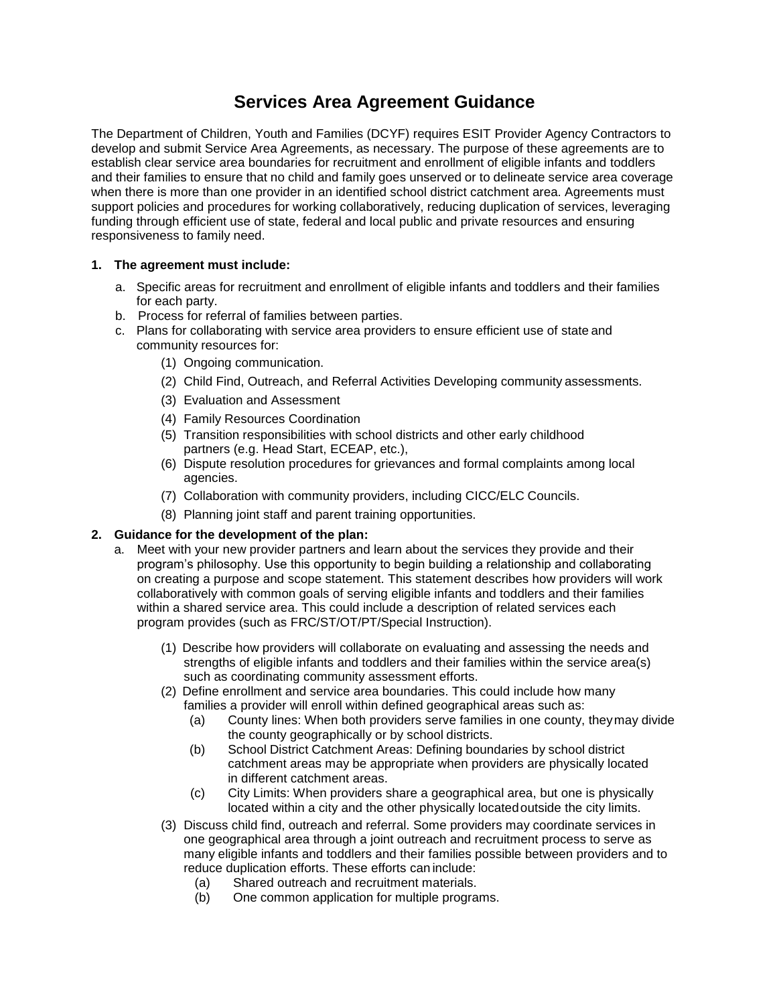## **Services Area Agreement Guidance**

The Department of Children, Youth and Families (DCYF) requires ESIT Provider Agency Contractors to develop and submit Service Area Agreements, as necessary. The purpose of these agreements are to establish clear service area boundaries for recruitment and enrollment of eligible infants and toddlers and their families to ensure that no child and family goes unserved or to delineate service area coverage when there is more than one provider in an identified school district catchment area. Agreements must support policies and procedures for working collaboratively, reducing duplication of services, leveraging funding through efficient use of state, federal and local public and private resources and ensuring responsiveness to family need.

## **1. The agreement must include:**

- a. Specific areas for recruitment and enrollment of eligible infants and toddlers and their families for each party.
- b. Process for referral of families between parties.
- c. Plans for collaborating with service area providers to ensure efficient use of state and community resources for:
	- (1) Ongoing communication.
	- (2) Child Find, Outreach, and Referral Activities Developing community assessments.
	- (3) Evaluation and Assessment
	- (4) Family Resources Coordination
	- (5) Transition responsibilities with school districts and other early childhood partners (e.g. Head Start, ECEAP, etc.),
	- (6) Dispute resolution procedures for grievances and formal complaints among local agencies.
	- (7) Collaboration with community providers, including CICC/ELC Councils.
	- (8) Planning joint staff and parent training opportunities.

## **2. Guidance for the development of the plan:**

- a. Meet with your new provider partners and learn about the services they provide and their program's philosophy. Use this opportunity to begin building a relationship and collaborating on creating a purpose and scope statement. This statement describes how providers will work collaboratively with common goals of serving eligible infants and toddlers and their families within a shared service area. This could include a description of related services each program provides (such as FRC/ST/OT/PT/Special Instruction).
	- (1) Describe how providers will collaborate on evaluating and assessing the needs and strengths of eligible infants and toddlers and their families within the service area(s) such as coordinating community assessment efforts.
	- (2) Define enrollment and service area boundaries. This could include how many families a provider will enroll within defined geographical areas such as:
		- (a) County lines: When both providers serve families in one county, theymay divide the county geographically or by school districts.
		- (b) School District Catchment Areas: Defining boundaries by school district catchment areas may be appropriate when providers are physically located in different catchment areas.
		- (c) City Limits: When providers share a geographical area, but one is physically located within a city and the other physically locatedoutside the city limits.
	- (3) Discuss child find, outreach and referral. Some providers may coordinate services in one geographical area through a joint outreach and recruitment process to serve as many eligible infants and toddlers and their families possible between providers and to reduce duplication efforts. These efforts can include:
		- (a) Shared outreach and recruitment materials.
		- (b) One common application for multiple programs.